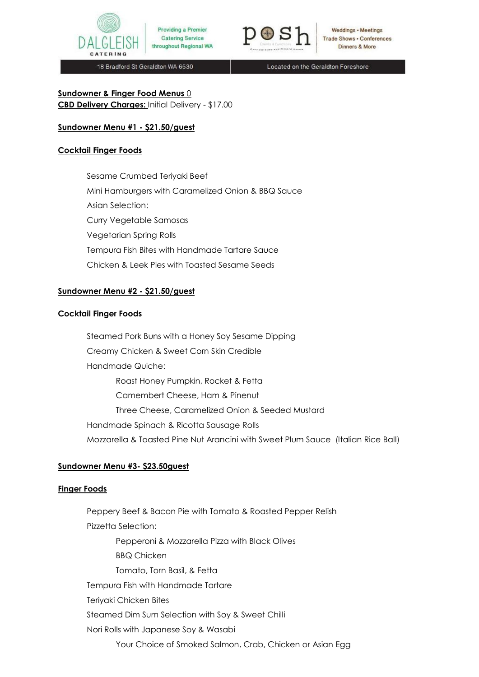



Weddings • Meetings **Trade Shows . Conferences Dinners & More** 

18 Bradford St Geraldton WA 6530

Located on the Geraldton Foreshore

# **Sundowner & Finger Food Menus** 0

**CBD Delivery Charges:** Initial Delivery - \$17.00

## **Sundowner Menu #1 - \$21.50/guest**

### **Cocktail Finger Foods**

Sesame Crumbed Teriyaki Beef Mini Hamburgers with Caramelized Onion & BBQ Sauce Asian Selection: Curry Vegetable Samosas Vegetarian Spring Rolls Tempura Fish Bites with Handmade Tartare Sauce Chicken & Leek Pies with Toasted Sesame Seeds

## **Sundowner Menu #2 - \$21.50/guest**

### **Cocktail Finger Foods**

Steamed Pork Buns with a Honey Soy Sesame Dipping Creamy Chicken & Sweet Corn Skin Credible Handmade Quiche: Roast Honey Pumpkin, Rocket & Fetta Camembert Cheese, Ham & Pinenut Three Cheese, Caramelized Onion & Seeded Mustard Handmade Spinach & Ricotta Sausage Rolls Mozzarella & Toasted Pine Nut Arancini with Sweet Plum Sauce (Italian Rice Ball)

# **Sundowner Menu #3- \$23.50guest**

### **Finger Foods**

Peppery Beef & Bacon Pie with Tomato & Roasted Pepper Relish Pizzetta Selection: Pepperoni & Mozzarella Pizza with Black Olives BBQ Chicken Tomato, Torn Basil, & Fetta Tempura Fish with Handmade Tartare Teriyaki Chicken Bites Steamed Dim Sum Selection with Soy & Sweet Chilli Nori Rolls with Japanese Soy & Wasabi Your Choice of Smoked Salmon, Crab, Chicken or Asian Egg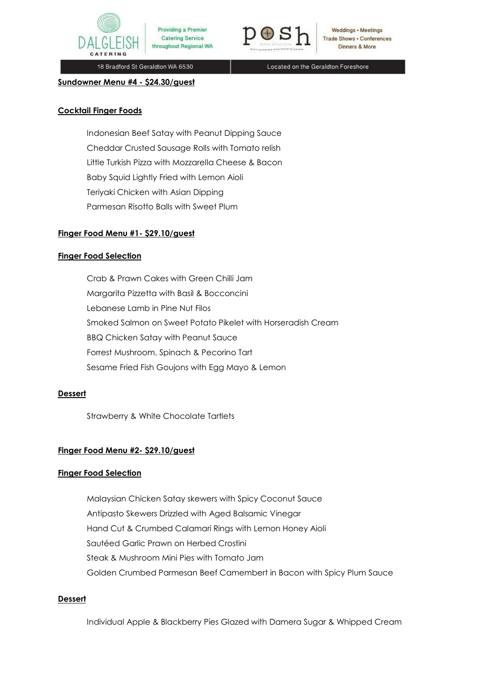



Weddings • Meetings **Trade Shows . Conferences** Dinners & More

18 Bradford St Geraldton WA 6530

Located on the Geraldton Foreshore

### **Sundowner Menu #4 - \$24.30/guest**

### **Cocktail Finger Foods**

Indonesian Beef Satay with Peanut Dipping Sauce Cheddar Crusted Sausage Rolls with Tomato relish Little Turkish Pizza with Mozzarella Cheese & Bacon Baby Squid Lightly Fried with Lemon Aioli Teriyaki Chicken with Asian Dipping Parmesan Risotto Balls with Sweet Plum

## **Finger Food Menu #1- \$29.10/guest**

### **Finger Food Selection**

Crab & Prawn Cakes with Green Chilli Jam Margarita Pizzetta with Basil & Bocconcini Lebanese Lamb in Pine Nut Filos Smoked Salmon on Sweet Potato Pikelet with Horseradish Cream BBQ Chicken Satay with Peanut Sauce Forrest Mushroom, Spinach & Pecorino Tart Sesame Fried Fish Goujons with Egg Mayo & Lemon

### **Dessert**

Strawberry & White Chocolate Tartlets

### **Finger Food Menu #2- \$29.10/guest**

### **Finger Food Selection**

Malaysian Chicken Satay skewers with Spicy Coconut Sauce Antipasto Skewers Drizzled with Aged Balsamic Vinegar Hand Cut & Crumbed Calamari Rings with Lemon Honey Aioli Sautéed Garlic Prawn on Herbed Crostini Steak & Mushroom Mini Pies with Tomato Jam Golden Crumbed Parmesan Beef Camembert in Bacon with Spicy Plum Sauce

### **Dessert**

Individual Apple & Blackberry Pies Glazed with Damera Sugar & Whipped Cream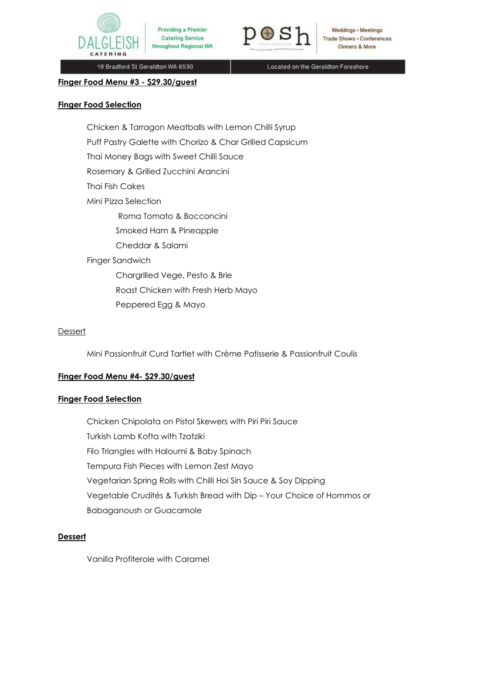



Weddings • Meetings **Trade Shows . Conferences** Dinners & More

18 Bradford St Geraldton WA 6530

Located on the Geraldton Foreshore

#### **Finger Food Menu #3 - \$29.30/guest**

#### **Finger Food Selection**

Chicken & Tarragon Meatballs with Lemon Chilli Syrup Puff Pastry Galette with Chorizo & Char Grilled Capsicum Thai Money Bags with Sweet Chilli Sauce Rosemary & Grilled Zucchini Arancini Thai Fish Cakes Mini Pizza Selection Roma Tomato & Bocconcini Smoked Ham & Pineapple Cheddar & Salami Finger Sandwich Chargrilled Vege, Pesto & Brie Roast Chicken with Fresh Herb Mayo Peppered Egg & Mayo

### **Dessert**

Mini Passionfruit Curd Tartlet with Crème Patisserie & Passionfruit Coulis

### **Finger Food Menu #4- \$29.30/guest**

#### **Finger Food Selection**

Chicken Chipolata on Pistol Skewers with Piri Piri Sauce Turkish Lamb Kofta with Tzatziki Filo Triangles with Haloumi & Baby Spinach Tempura Fish Pieces with Lemon Zest Mayo Vegetarian Spring Rolls with Chilli Hoi Sin Sauce & Soy Dipping Vegetable Crudités & Turkish Bread with Dip – Your Choice of Hommos or Babaganoush or Guacamole

### **Dessert**

Vanilla Profiterole with Caramel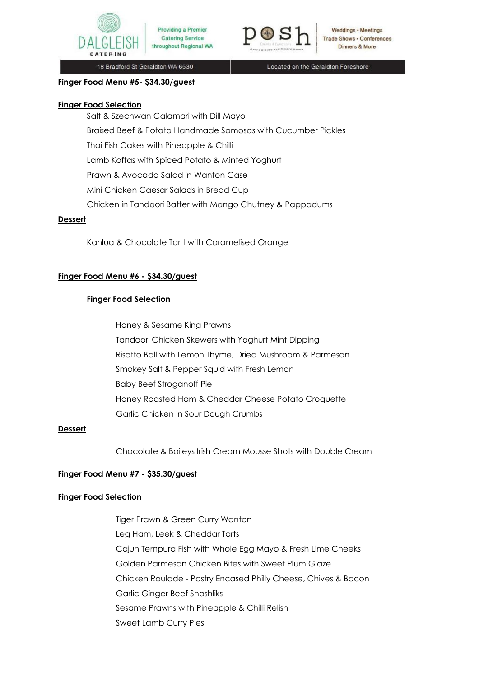



Weddings • Meetings **Trade Shows . Conferences** Dinners & More

18 Bradford St Geraldton WA 6530

Located on the Geraldton Foreshore

#### **Finger Food Menu #5- \$34.30/guest**

#### **Finger Food Selection**

Salt & Szechwan Calamari with Dill Mayo

Braised Beef & Potato Handmade Samosas with Cucumber Pickles

Thai Fish Cakes with Pineapple & Chilli

Lamb Koftas with Spiced Potato & Minted Yoghurt

Prawn & Avocado Salad in Wanton Case

Mini Chicken Caesar Salads in Bread Cup

Chicken in Tandoori Batter with Mango Chutney & Pappadums

### **Dessert**

Kahlua & Chocolate Tar t with Caramelised Orange

## **Finger Food Menu #6 - \$34.30/guest**

## **Finger Food Selection**

Honey & Sesame King Prawns Tandoori Chicken Skewers with Yoghurt Mint Dipping Risotto Ball with Lemon Thyme, Dried Mushroom & Parmesan Smokey Salt & Pepper Squid with Fresh Lemon Baby Beef Stroganoff Pie Honey Roasted Ham & Cheddar Cheese Potato Croquette Garlic Chicken in Sour Dough Crumbs

### **Dessert**

Chocolate & Baileys Irish Cream Mousse Shots with Double Cream

### **Finger Food Menu #7 - \$35.30/guest**

### **Finger Food Selection**

Tiger Prawn & Green Curry Wanton Leg Ham, Leek & Cheddar Tarts Cajun Tempura Fish with Whole Egg Mayo & Fresh Lime Cheeks Golden Parmesan Chicken Bites with Sweet Plum Glaze Chicken Roulade - Pastry Encased Philly Cheese, Chives & Bacon Garlic Ginger Beef Shashliks Sesame Prawns with Pineapple & Chilli Relish Sweet Lamb Curry Pies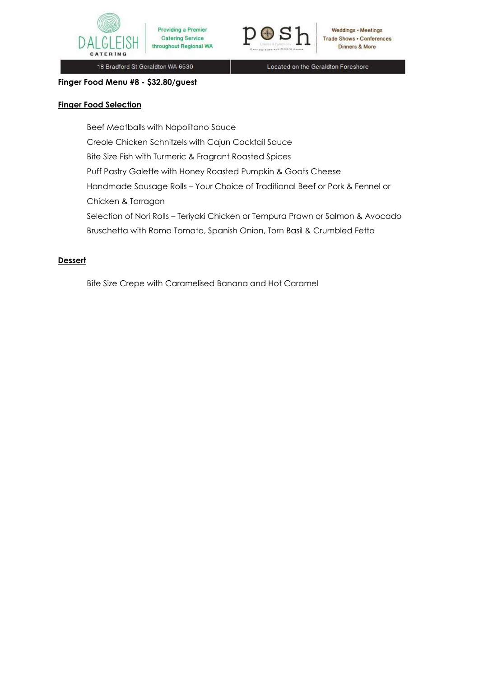



**Weddings • Meetings** Trade Shows . Conferences Dinners & More

18 Bradford St Geraldton WA 6530

Located on the Geraldton Foreshore

#### **Finger Food Menu #8 - \$32.80/guest**

### **Finger Food Selection**

Beef Meatballs with Napolitano Sauce Creole Chicken Schnitzels with Cajun Cocktail Sauce Bite Size Fish with Turmeric & Fragrant Roasted Spices Puff Pastry Galette with Honey Roasted Pumpkin & Goats Cheese Handmade Sausage Rolls – Your Choice of Traditional Beef or Pork & Fennel or Chicken & Tarragon Selection of Nori Rolls – Teriyaki Chicken or Tempura Prawn or Salmon & Avocado Bruschetta with Roma Tomato, Spanish Onion, Torn Basil & Crumbled Fetta

## **Dessert**

Bite Size Crepe with Caramelised Banana and Hot Caramel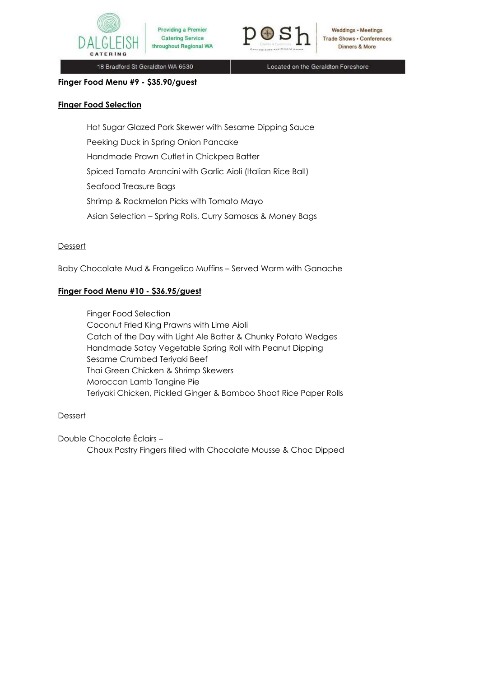



**Weddings • Meetings Trade Shows . Conferences** Dinners & More

18 Bradford St Geraldton WA 6530

Located on the Geraldton Foreshore

#### **Finger Food Menu #9 - \$35.90/guest**

#### **Finger Food Selection**

Hot Sugar Glazed Pork Skewer with Sesame Dipping Sauce Peeking Duck in Spring Onion Pancake Handmade Prawn Cutlet in Chickpea Batter Spiced Tomato Arancini with Garlic Aioli (Italian Rice Ball) Seafood Treasure Bags Shrimp & Rockmelon Picks with Tomato Mayo Asian Selection – Spring Rolls, Curry Samosas & Money Bags

#### **Dessert**

Baby Chocolate Mud & Frangelico Muffins – Served Warm with Ganache

### **Finger Food Menu #10 - \$36.95/guest**

Finger Food Selection Coconut Fried King Prawns with Lime Aioli Catch of the Day with Light Ale Batter & Chunky Potato Wedges Handmade Satay Vegetable Spring Roll with Peanut Dipping Sesame Crumbed Teriyaki Beef Thai Green Chicken & Shrimp Skewers Moroccan Lamb Tangine Pie Teriyaki Chicken, Pickled Ginger & Bamboo Shoot Rice Paper Rolls

#### **Dessert**

Double Chocolate Éclairs –

Choux Pastry Fingers filled with Chocolate Mousse & Choc Dipped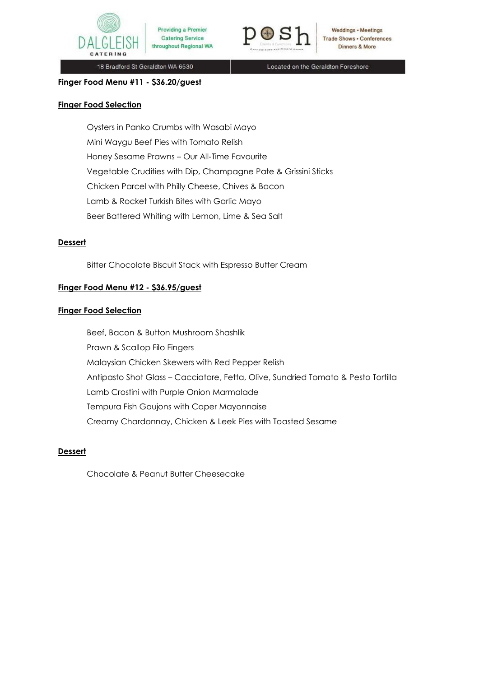



Weddings • Meetings **Trade Shows . Conferences** Dinners & More

18 Bradford St Geraldton WA 6530

Located on the Geraldton Foreshore

**Finger Food Menu #11 - \$36.20/guest** 

### **Finger Food Selection**

Oysters in Panko Crumbs with Wasabi Mayo Mini Waygu Beef Pies with Tomato Relish Honey Sesame Prawns – Our All-Time Favourite Vegetable Crudities with Dip, Champagne Pate & Grissini Sticks Chicken Parcel with Philly Cheese, Chives & Bacon Lamb & Rocket Turkish Bites with Garlic Mayo Beer Battered Whiting with Lemon, Lime & Sea Salt

## **Dessert**

Bitter Chocolate Biscuit Stack with Espresso Butter Cream

# **Finger Food Menu #12 - \$36.95/guest**

### **Finger Food Selection**

Beef, Bacon & Button Mushroom Shashlik Prawn & Scallop Filo Fingers Malaysian Chicken Skewers with Red Pepper Relish Antipasto Shot Glass – Cacciatore, Fetta, Olive, Sundried Tomato & Pesto Tortilla Lamb Crostini with Purple Onion Marmalade Tempura Fish Goujons with Caper Mayonnaise Creamy Chardonnay, Chicken & Leek Pies with Toasted Sesame

## **Dessert**

Chocolate & Peanut Butter Cheesecake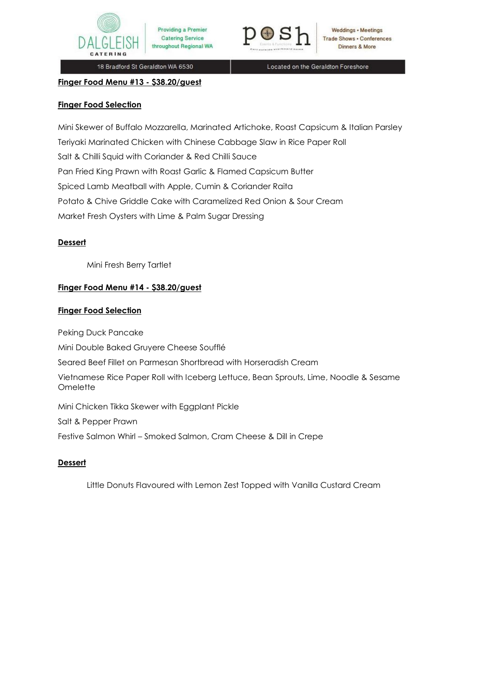



Weddings • Meetings **Trade Shows . Conferences** Dinners & More

18 Bradford St Geraldton WA 6530

Located on the Geraldton Foreshore

**Finger Food Menu #13 - \$38.20/guest** 

## **Finger Food Selection**

Mini Skewer of Buffalo Mozzarella, Marinated Artichoke, Roast Capsicum & Italian Parsley Teriyaki Marinated Chicken with Chinese Cabbage Slaw in Rice Paper Roll Salt & Chilli Squid with Coriander & Red Chilli Sauce Pan Fried King Prawn with Roast Garlic & Flamed Capsicum Butter Spiced Lamb Meatball with Apple, Cumin & Coriander Raita Potato & Chive Griddle Cake with Caramelized Red Onion & Sour Cream Market Fresh Oysters with Lime & Palm Sugar Dressing

## **Dessert**

Mini Fresh Berry Tartlet

# **Finger Food Menu #14 - \$38.20/guest**

## **Finger Food Selection**

Peking Duck Pancake Mini Double Baked Gruyere Cheese Soufflé Seared Beef Fillet on Parmesan Shortbread with Horseradish Cream Vietnamese Rice Paper Roll with Iceberg Lettuce, Bean Sprouts, Lime, Noodle & Sesame **Omelette** Mini Chicken Tikka Skewer with Eggplant Pickle Salt & Pepper Prawn Festive Salmon Whirl – Smoked Salmon, Cram Cheese & Dill in Crepe

# **Dessert**

Little Donuts Flavoured with Lemon Zest Topped with Vanilla Custard Cream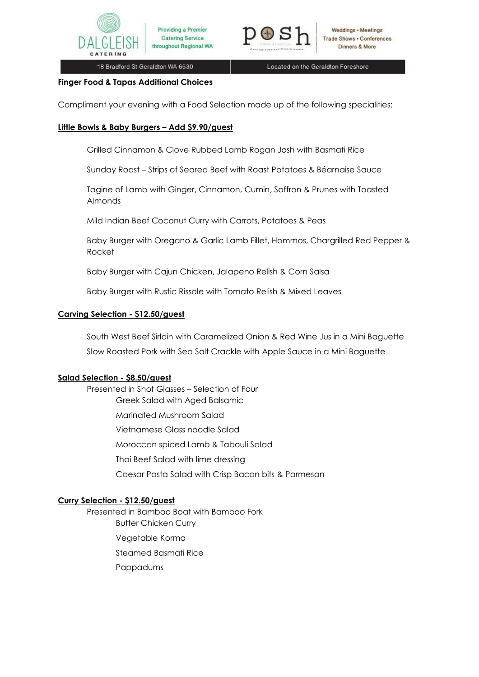

18 Bradford St Geraldton WA 6530

Providing a Premier

**Catering Service** 

throughout Regional WA

Located on the Geraldton Foreshore

### **Finger Food & Tapas Additional Choices**

Compliment your evening with a Food Selection made up of the following specialities:

## **Little Bowls & Baby Burgers – Add \$9.90/guest**

Grilled Cinnamon & Clove Rubbed Lamb Rogan Josh with Basmati Rice

Sunday Roast – Strips of Seared Beef with Roast Potatoes & Béarnaise Sauce

Tagine of Lamb with Ginger, Cinnamon, Cumin, Saffron & Prunes with Toasted Almonds

Mild Indian Beef Coconut Curry with Carrots, Potatoes & Peas

Baby Burger with Oregano & Garlic Lamb Fillet, Hommos, Chargrilled Red Pepper & Rocket

Baby Burger with Cajun Chicken, Jalapeno Relish & Corn Salsa

Baby Burger with Rustic Rissole with Tomato Relish & Mixed Leaves

## **Carving Selection - \$12.50/guest**

South West Beef Sirloin with Caramelized Onion & Red Wine Jus in a Mini Baguette Slow Roasted Pork with Sea Salt Crackle with Apple Sauce in a Mini Baguette

### **Salad Selection - \$8.50/guest**

Presented in Shot Glasses – Selection of Four Greek Salad with Aged Balsamic Marinated Mushroom Salad Vietnamese Glass noodle Salad Moroccan spiced Lamb & Tabouli Salad Thai Beef Salad with lime dressing Caesar Pasta Salad with Crisp Bacon bits & Parmesan

### **Curry Selection - \$12.50/guest**

Presented in Bamboo Boat with Bamboo Fork Butter Chicken Curry Vegetable Korma Steamed Basmati Rice Pappadums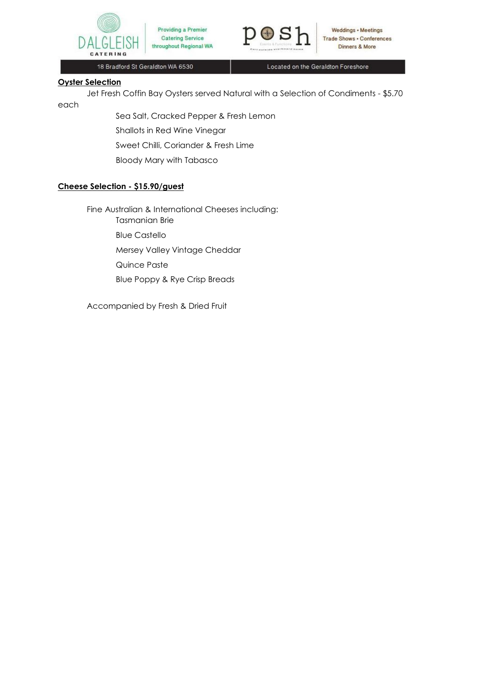



18 Bradford St Geraldton WA 6530

Located on the Geraldton Foreshore

## **Oyster Selection**

Jet Fresh Coffin Bay Oysters served Natural with a Selection of Condiments - \$5.70 each

> Sea Salt, Cracked Pepper & Fresh Lemon Shallots in Red Wine Vinegar Sweet Chilli, Coriander & Fresh Lime Bloody Mary with Tabasco

## **Cheese Selection - \$15.90/guest**

Fine Australian & International Cheeses including: Tasmanian Brie Blue Castello

Mersey Valley Vintage Cheddar

Quince Paste

Blue Poppy & Rye Crisp Breads

Accompanied by Fresh & Dried Fruit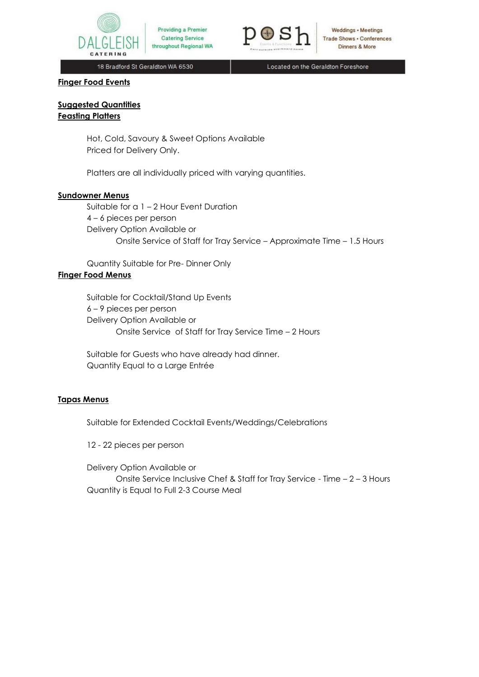



Weddings • Meetings **Trade Shows . Conferences** Dinners & More

18 Bradford St Geraldton WA 6530

Located on the Geraldton Foreshore

#### **Finger Food Events**

**Suggested Quantities Feasting Platters**

> Hot, Cold, Savoury & Sweet Options Available Priced for Delivery Only.

Platters are all individually priced with varying quantities.

#### **Sundowner Menus**

Suitable for a 1 – 2 Hour Event Duration 4 – 6 pieces per person Delivery Option Available or Onsite Service of Staff for Tray Service – Approximate Time – 1.5 Hours

Quantity Suitable for Pre- Dinner Only

#### **Finger Food Menus**

Suitable for Cocktail/Stand Up Events 6 – 9 pieces per person Delivery Option Available or Onsite Service of Staff for Tray Service Time – 2 Hours

Suitable for Guests who have already had dinner. Quantity Equal to a Large Entrée

## **Tapas Menus**

Suitable for Extended Cocktail Events/Weddings/Celebrations

12 - 22 pieces per person

Delivery Option Available or Onsite Service Inclusive Chef & Staff for Tray Service - Time – 2 – 3 Hours Quantity is Equal to Full 2-3 Course Meal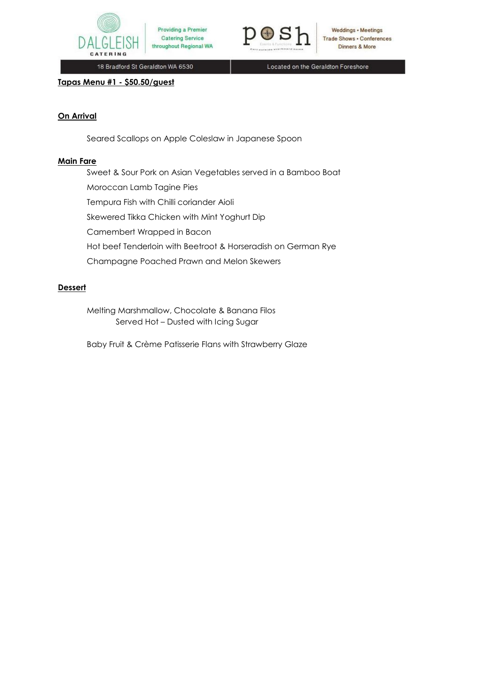



Weddings • Meetings Trade Shows . Conferences Dinners & More

18 Bradford St Geraldton WA 6530

Located on the Geraldton Foreshore

# **Tapas Menu #1 - \$50.50/guest**

# **On Arrival**

Seared Scallops on Apple Coleslaw in Japanese Spoon

### **Main Fare**

Sweet & Sour Pork on Asian Vegetables served in a Bamboo Boat Moroccan Lamb Tagine Pies Tempura Fish with Chilli coriander Aioli Skewered Tikka Chicken with Mint Yoghurt Dip Camembert Wrapped in Bacon Hot beef Tenderloin with Beetroot & Horseradish on German Rye Champagne Poached Prawn and Melon Skewers

# **Dessert**

Melting Marshmallow, Chocolate & Banana Filos Served Hot – Dusted with Icing Sugar

Baby Fruit & Crème Patisserie Flans with Strawberry Glaze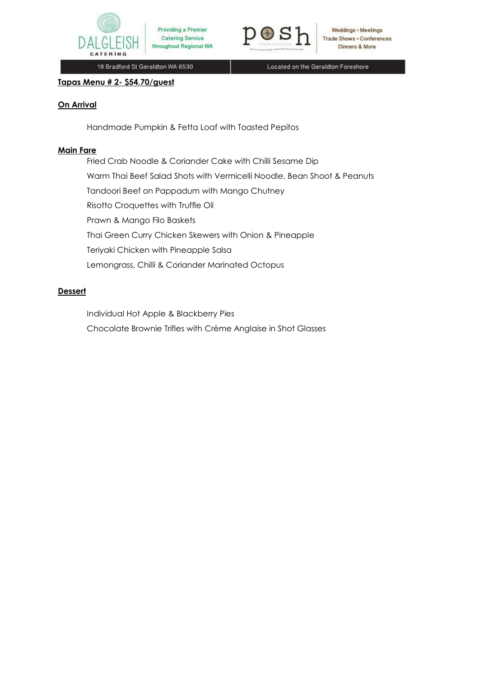



**Weddings • Meetings Trade Shows - Conferences** Dinners & More

18 Bradford St Geraldton WA 6530

Located on the Geraldton Foreshore

### **Tapas Menu # 2- \$54.70/guest**

# **On Arrival**

Handmade Pumpkin & Fetta Loaf with Toasted Pepitos

## **Main Fare**

Fried Crab Noodle & Coriander Cake with Chilli Sesame Dip Warm Thai Beef Salad Shots with Vermicelli Noodle, Bean Shoot & Peanuts Tandoori Beef on Pappadum with Mango Chutney Risotto Croquettes with Truffle Oil Prawn & Mango Filo Baskets Thai Green Curry Chicken Skewers with Onion & Pineapple Teriyaki Chicken with Pineapple Salsa Lemongrass, Chilli & Coriander Marinated Octopus

# **Dessert**

Individual Hot Apple & Blackberry Pies

Chocolate Brownie Trifles with Crème Anglaise in Shot Glasses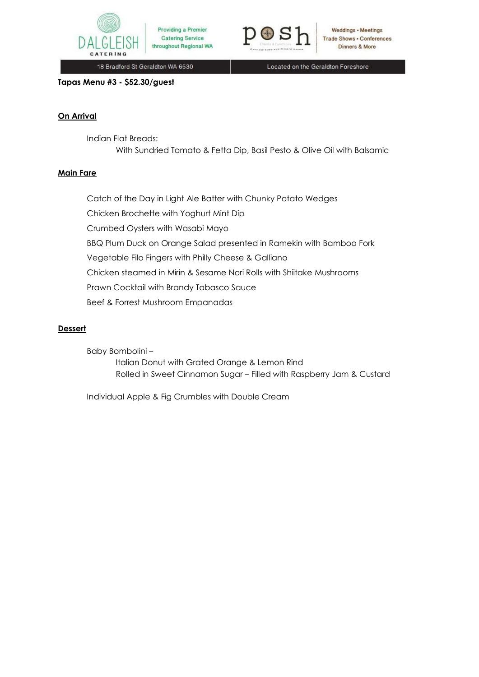



**Weddings • Meetings Trade Shows . Conferences** Dinners & More

18 Bradford St Geraldton WA 6530

Located on the Geraldton Foreshore

### **Tapas Menu #3 - \$52.30/guest**

# **On Arrival**

Indian Flat Breads: With Sundried Tomato & Fetta Dip, Basil Pesto & Olive Oil with Balsamic

# **Main Fare**

Catch of the Day in Light Ale Batter with Chunky Potato Wedges Chicken Brochette with Yoghurt Mint Dip Crumbed Oysters with Wasabi Mayo BBQ Plum Duck on Orange Salad presented in Ramekin with Bamboo Fork Vegetable Filo Fingers with Philly Cheese & Galliano Chicken steamed in Mirin & Sesame Nori Rolls with Shiitake Mushrooms Prawn Cocktail with Brandy Tabasco Sauce Beef & Forrest Mushroom Empanadas

# **Dessert**

Baby Bombolini – Italian Donut with Grated Orange & Lemon Rind Rolled in Sweet Cinnamon Sugar – Filled with Raspberry Jam & Custard

Individual Apple & Fig Crumbles with Double Cream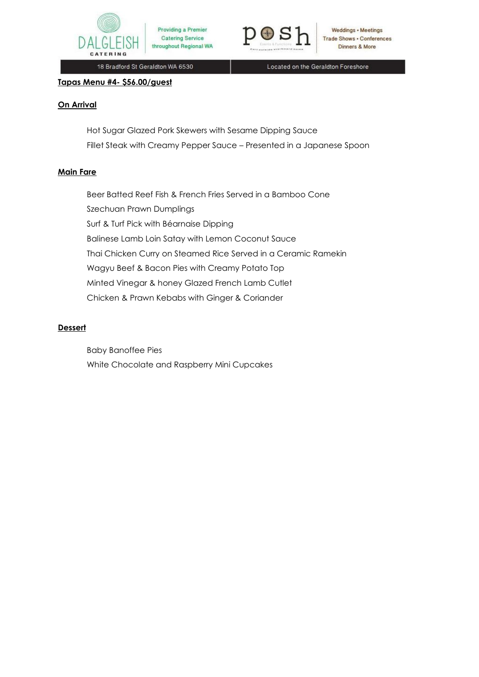



**Weddings • Meetings Trade Shows . Conferences** Dinners & More

18 Bradford St Geraldton WA 6530

Located on the Geraldton Foreshore

### **Tapas Menu #4- \$56.00/guest**

## **On Arrival**

Hot Sugar Glazed Pork Skewers with Sesame Dipping Sauce Fillet Steak with Creamy Pepper Sauce – Presented in a Japanese Spoon

### **Main Fare**

Beer Batted Reef Fish & French Fries Served in a Bamboo Cone Szechuan Prawn Dumplings Surf & Turf Pick with Béarnaise Dipping Balinese Lamb Loin Satay with Lemon Coconut Sauce Thai Chicken Curry on Steamed Rice Served in a Ceramic Ramekin Wagyu Beef & Bacon Pies with Creamy Potato Top Minted Vinegar & honey Glazed French Lamb Cutlet Chicken & Prawn Kebabs with Ginger & Coriander

## **Dessert**

Baby Banoffee Pies White Chocolate and Raspberry Mini Cupcakes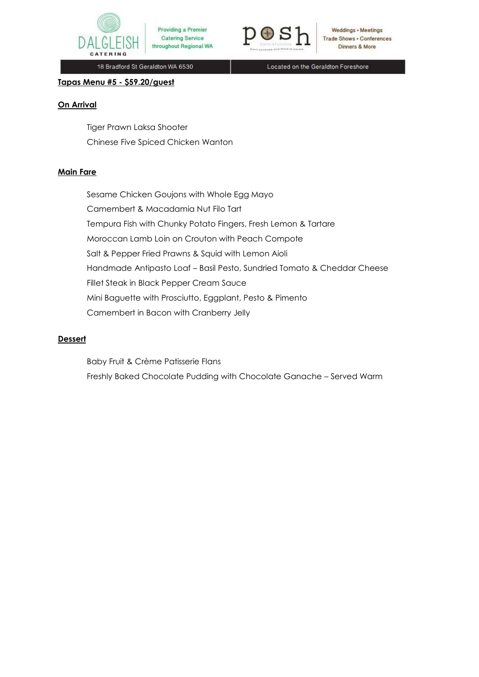



**Weddings • Meetings Trade Shows . Conferences** Dinners & More

18 Bradford St Geraldton WA 6530

Located on the Geraldton Foreshore

## **Tapas Menu #5 - \$59.20/guest**

## **On Arrival**

Tiger Prawn Laksa Shooter Chinese Five Spiced Chicken Wanton

### **Main Fare**

Sesame Chicken Goujons with Whole Egg Mayo Camembert & Macadamia Nut Filo Tart Tempura Fish with Chunky Potato Fingers, Fresh Lemon & Tartare Moroccan Lamb Loin on Crouton with Peach Compote Salt & Pepper Fried Prawns & Squid with Lemon Aioli Handmade Antipasto Loaf – Basil Pesto, Sundried Tomato & Cheddar Cheese Fillet Steak in Black Pepper Cream Sauce Mini Baguette with Prosciutto, Eggplant, Pesto & Pimento Camembert in Bacon with Cranberry Jelly

## **Dessert**

Baby Fruit & Crème Patisserie Flans Freshly Baked Chocolate Pudding with Chocolate Ganache – Served Warm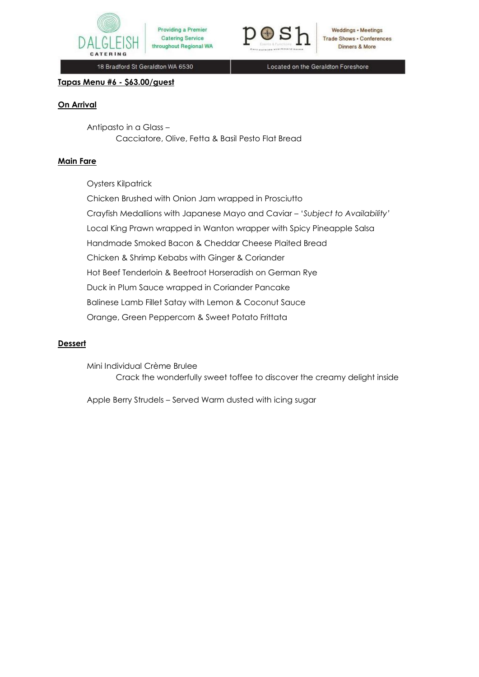



Weddings • Meetings **Trade Shows . Conferences** Dinners & More

18 Bradford St Geraldton WA 6530

Located on the Geraldton Foreshore

# **Tapas Menu #6 - \$63.00/guest**

### **On Arrival**

Antipasto in a Glass – Cacciatore, Olive, Fetta & Basil Pesto Flat Bread

### **Main Fare**

Oysters Kilpatrick

Chicken Brushed with Onion Jam wrapped in Prosciutto Crayfish Medallions with Japanese Mayo and Caviar – '*Subject to Availability'*  Local King Prawn wrapped in Wanton wrapper with Spicy Pineapple Salsa Handmade Smoked Bacon & Cheddar Cheese Plaited Bread Chicken & Shrimp Kebabs with Ginger & Coriander Hot Beef Tenderloin & Beetroot Horseradish on German Rye Duck in Plum Sauce wrapped in Coriander Pancake Balinese Lamb Fillet Satay with Lemon & Coconut Sauce Orange, Green Peppercorn & Sweet Potato Frittata

#### **Dessert**

Mini Individual Crème Brulee Crack the wonderfully sweet toffee to discover the creamy delight inside

Apple Berry Strudels – Served Warm dusted with icing sugar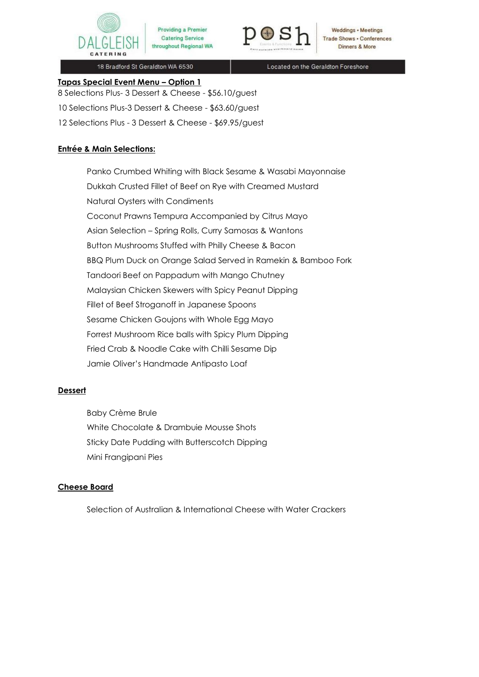



Weddings • Meetings **Trade Shows . Conferences** Dinners & More

18 Bradford St Geraldton WA 6530

Located on the Geraldton Foreshore

# **Tapas Special Event Menu – Option 1**

8 Selections Plus- 3 Dessert & Cheese - \$56.10/guest

10 Selections Plus-3 Dessert & Cheese - \$63.60/guest

12 Selections Plus - 3 Dessert & Cheese - \$69.95/guest

# **Entrée & Main Selections:**

Panko Crumbed Whiting with Black Sesame & Wasabi Mayonnaise Dukkah Crusted Fillet of Beef on Rye with Creamed Mustard Natural Oysters with Condiments Coconut Prawns Tempura Accompanied by Citrus Mayo Asian Selection – Spring Rolls, Curry Samosas & Wantons Button Mushrooms Stuffed with Philly Cheese & Bacon BBQ Plum Duck on Orange Salad Served in Ramekin & Bamboo Fork Tandoori Beef on Pappadum with Mango Chutney Malaysian Chicken Skewers with Spicy Peanut Dipping Fillet of Beef Stroganoff in Japanese Spoons Sesame Chicken Goujons with Whole Egg Mayo Forrest Mushroom Rice balls with Spicy Plum Dipping Fried Crab & Noodle Cake with Chilli Sesame Dip Jamie Oliver's Handmade Antipasto Loaf

# **Dessert**

Baby Crème Brule White Chocolate & Drambuie Mousse Shots Sticky Date Pudding with Butterscotch Dipping Mini Frangipani Pies

# **Cheese Board**

Selection of Australian & International Cheese with Water Crackers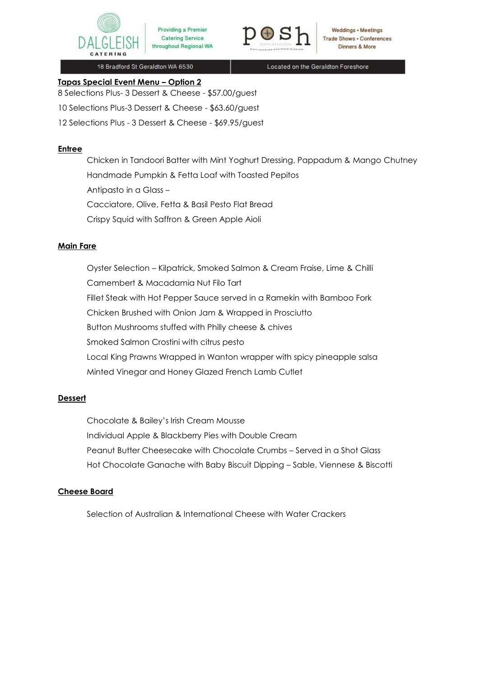



Weddings • Meetings **Trade Shows . Conferences Dinners & More** 

18 Bradford St Geraldton WA 6530

Located on the Geraldton Foreshore

# **Tapas Special Event Menu – Option 2**

8 Selections Plus- 3 Dessert & Cheese - \$57.00/guest

10 Selections Plus-3 Dessert & Cheese - \$63.60/guest

12 Selections Plus - 3 Dessert & Cheese - \$69.95/guest

## **Entree**

Chicken in Tandoori Batter with Mint Yoghurt Dressing, Pappadum & Mango Chutney Handmade Pumpkin & Fetta Loaf with Toasted Pepitos Antipasto in a Glass – Cacciatore, Olive, Fetta & Basil Pesto Flat Bread Crispy Squid with Saffron & Green Apple Aioli

## **Main Fare**

Oyster Selection – Kilpatrick, Smoked Salmon & Cream Fraise, Lime & Chilli Camembert & Macadamia Nut Filo Tart Fillet Steak with Hot Pepper Sauce served in a Ramekin with Bamboo Fork Chicken Brushed with Onion Jam & Wrapped in Prosciutto Button Mushrooms stuffed with Philly cheese & chives Smoked Salmon Crostini with citrus pesto Local King Prawns Wrapped in Wanton wrapper with spicy pineapple salsa Minted Vinegar and Honey Glazed French Lamb Cutlet

# **Dessert**

Chocolate & Bailey's Irish Cream Mousse Individual Apple & Blackberry Pies with Double Cream Peanut Butter Cheesecake with Chocolate Crumbs – Served in a Shot Glass Hot Chocolate Ganache with Baby Biscuit Dipping – Sable, Viennese & Biscotti

# **Cheese Board**

Selection of Australian & International Cheese with Water Crackers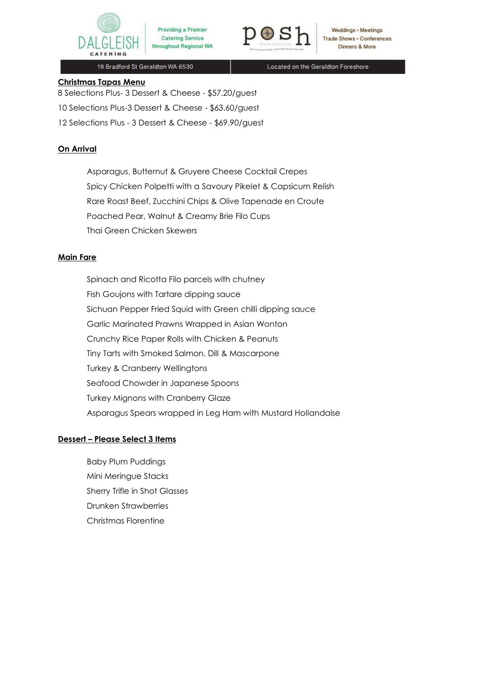



Weddings • Meetings **Trade Shows . Conferences** Dinners & More

18 Bradford St Geraldton WA 6530

Located on the Geraldton Foreshore

## **Christmas Tapas Menu**

8 Selections Plus- 3 Dessert & Cheese - \$57.20/guest 10 Selections Plus-3 Dessert & Cheese - \$63.60/guest 12 Selections Plus - 3 Dessert & Cheese - \$69.90/guest

# **On Arrival**

Asparagus, Butternut & Gruyere Cheese Cocktail Crepes Spicy Chicken Polpetti with a Savoury Pikelet & Capsicum Relish Rare Roast Beef, Zucchini Chips & Olive Tapenade en Croute Poached Pear, Walnut & Creamy Brie Filo Cups Thai Green Chicken Skewers

# **Main Fare**

Spinach and Ricotta Filo parcels with chutney Fish Goujons with Tartare dipping sauce Sichuan Pepper Fried Squid with Green chilli dipping sauce Garlic Marinated Prawns Wrapped in Asian Wonton Crunchy Rice Paper Rolls with Chicken & Peanuts Tiny Tarts with Smoked Salmon, Dill & Mascarpone Turkey & Cranberry Wellingtons Seafood Chowder in Japanese Spoons Turkey Mignons with Cranberry Glaze Asparagus Spears wrapped in Leg Ham with Mustard Hollandaise

# **Dessert – Please Select 3 Items**

Baby Plum Puddings Mini Meringue Stacks Sherry Trifle in Shot Glasses Drunken Strawberries Christmas Florentine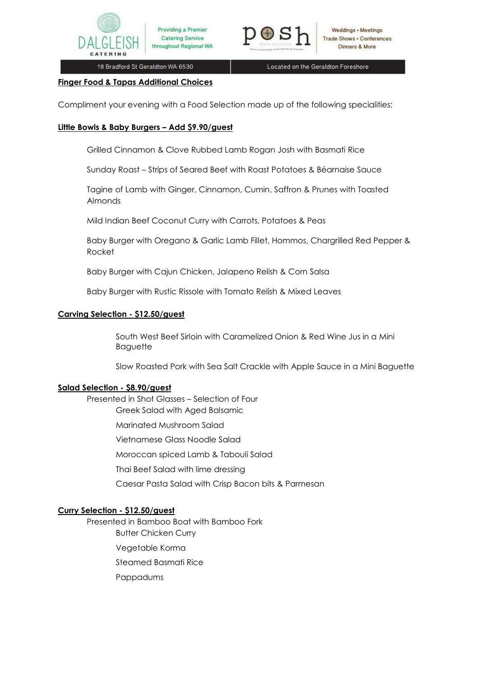

18 Bradford St Geraldton WA 6530

Providing a Premier

**Catering Service** 

throughout Regional WA

Located on the Geraldton Foreshore

#### **Finger Food & Tapas Additional Choices**

Compliment your evening with a Food Selection made up of the following specialities:

### **Little Bowls & Baby Burgers – Add \$9.90/guest**

Grilled Cinnamon & Clove Rubbed Lamb Rogan Josh with Basmati Rice

Sunday Roast – Strips of Seared Beef with Roast Potatoes & Béarnaise Sauce

Tagine of Lamb with Ginger, Cinnamon, Cumin, Saffron & Prunes with Toasted Almonds

Mild Indian Beef Coconut Curry with Carrots, Potatoes & Peas

Baby Burger with Oregano & Garlic Lamb Fillet, Hommos, Chargrilled Red Pepper & Rocket

Baby Burger with Cajun Chicken, Jalapeno Relish & Corn Salsa

Baby Burger with Rustic Rissole with Tomato Relish & Mixed Leaves

### **Carving Selection - \$12.50/guest**

South West Beef Sirloin with Caramelized Onion & Red Wine Jus in a Mini Baguette

Slow Roasted Pork with Sea Salt Crackle with Apple Sauce in a Mini Baguette

### **Salad Selection - \$8.90/guest**

Presented in Shot Glasses – Selection of Four Greek Salad with Aged Balsamic

Marinated Mushroom Salad

Vietnamese Glass Noodle Salad

Moroccan spiced Lamb & Tabouli Salad

Thai Beef Salad with lime dressing

Caesar Pasta Salad with Crisp Bacon bits & Parmesan

# **Curry Selection - \$12.50/guest**

Presented in Bamboo Boat with Bamboo Fork

- Butter Chicken Curry
- Vegetable Korma

Steamed Basmati Rice

Pappadums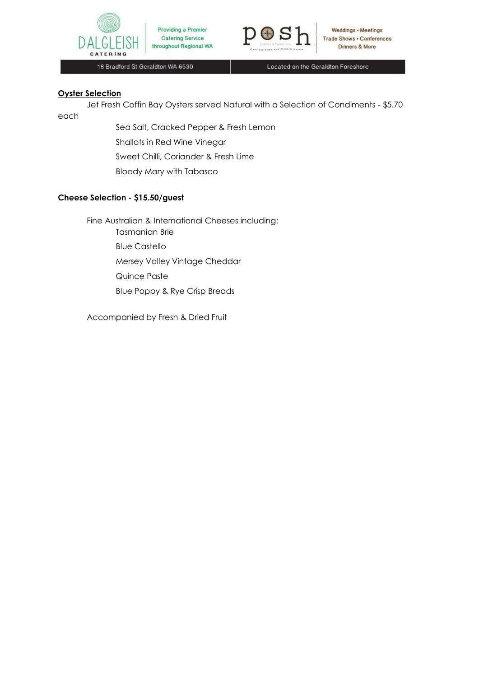



18 Bradford St Geraldton WA 6530

Located on the Geraldton Foreshore

### **Oyster Selection**

Jet Fresh Coffin Bay Oysters served Natural with a Selection of Condiments - \$5.70 each

> Sea Salt, Cracked Pepper & Fresh Lemon Shallots in Red Wine Vinegar Sweet Chilli, Coriander & Fresh Lime Bloody Mary with Tabasco

Providing a Premier

**Catering Service** 

# **Cheese Selection - \$15.50/guest**

Fine Australian & International Cheeses including:

Tasmanian Brie Blue Castello

Mersey Valley Vintage Cheddar

Quince Paste

Blue Poppy & Rye Crisp Breads

Accompanied by Fresh & Dried Fruit